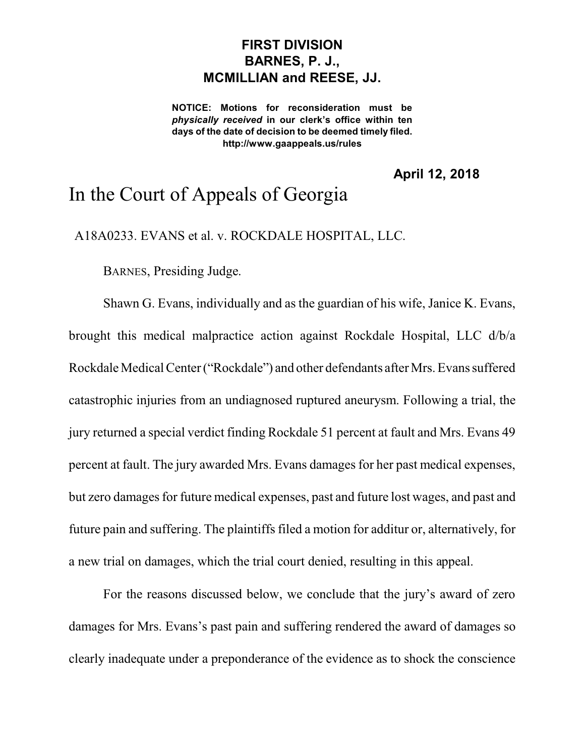## **FIRST DIVISION BARNES, P. J., MCMILLIAN and REESE, JJ.**

**NOTICE: Motions for reconsideration must be** *physically received* **in our clerk's office within ten days of the date of decision to be deemed timely filed. http://www.gaappeals.us/rules**

**April 12, 2018**

## In the Court of Appeals of Georgia

A18A0233. EVANS et al. v. ROCKDALE HOSPITAL, LLC.

BARNES, Presiding Judge.

Shawn G. Evans, individually and as the guardian of his wife, Janice K. Evans, brought this medical malpractice action against Rockdale Hospital, LLC d/b/a Rockdale Medical Center ("Rockdale") and other defendants after Mrs. Evans suffered catastrophic injuries from an undiagnosed ruptured aneurysm. Following a trial, the jury returned a special verdict finding Rockdale 51 percent at fault and Mrs. Evans 49 percent at fault. The jury awarded Mrs. Evans damages for her past medical expenses, but zero damages for future medical expenses, past and future lost wages, and past and future pain and suffering. The plaintiffs filed a motion for additur or, alternatively, for a new trial on damages, which the trial court denied, resulting in this appeal.

For the reasons discussed below, we conclude that the jury's award of zero damages for Mrs. Evans's past pain and suffering rendered the award of damages so clearly inadequate under a preponderance of the evidence as to shock the conscience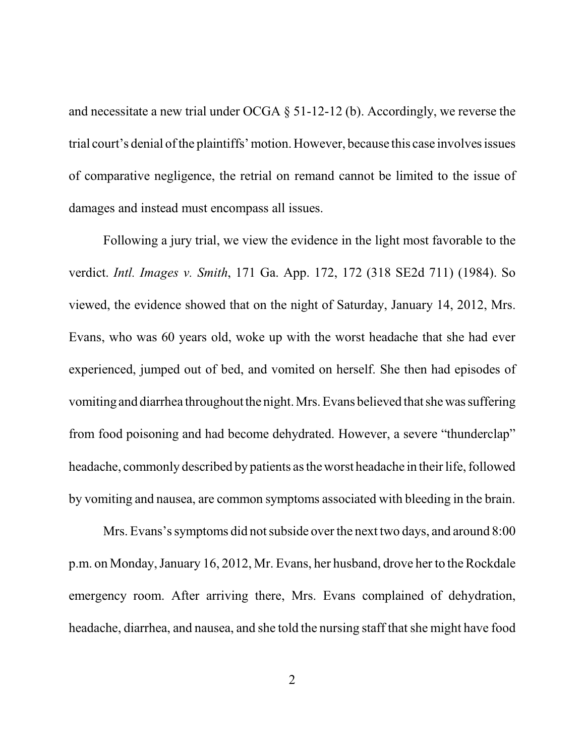and necessitate a new trial under OCGA § 51-12-12 (b). Accordingly, we reverse the trial court's denial of the plaintiffs'motion. However, because this case involves issues of comparative negligence, the retrial on remand cannot be limited to the issue of damages and instead must encompass all issues.

Following a jury trial, we view the evidence in the light most favorable to the verdict. *Intl. Images v. Smith*, 171 Ga. App. 172, 172 (318 SE2d 711) (1984). So viewed, the evidence showed that on the night of Saturday, January 14, 2012, Mrs. Evans, who was 60 years old, woke up with the worst headache that she had ever experienced, jumped out of bed, and vomited on herself. She then had episodes of vomiting and diarrhea throughout the night. Mrs. Evans believed that shewas suffering from food poisoning and had become dehydrated. However, a severe "thunderclap" headache, commonly described by patients as theworst headache in their life, followed by vomiting and nausea, are common symptoms associated with bleeding in the brain.

Mrs. Evans's symptoms did not subside over the next two days, and around 8:00 p.m. on Monday,January 16, 2012, Mr. Evans, her husband, drove her to theRockdale emergency room. After arriving there, Mrs. Evans complained of dehydration, headache, diarrhea, and nausea, and she told the nursing staff that she might have food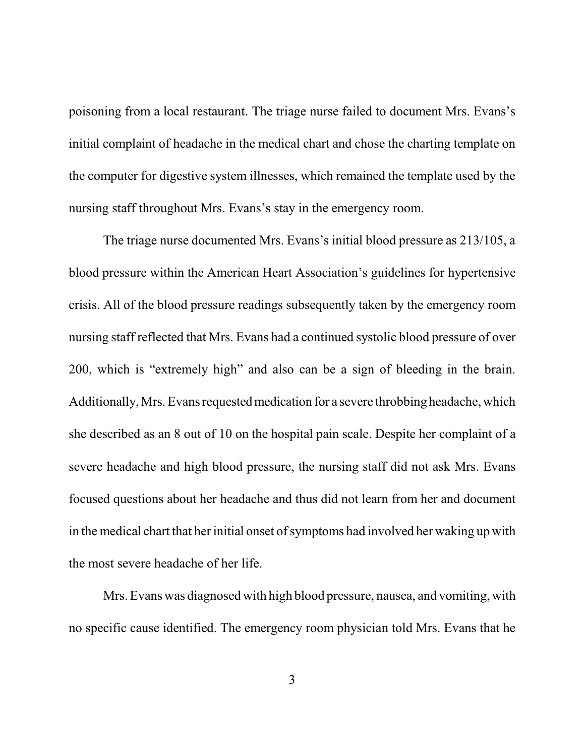poisoning from a local restaurant. The triage nurse failed to document Mrs. Evans's initial complaint of headache in the medical chart and chose the charting template on the computer for digestive system illnesses, which remained the template used by the nursing staff throughout Mrs. Evans's stay in the emergency room.

The triage nurse documented Mrs. Evans's initial blood pressure as 213/105, a blood pressure within the American Heart Association's guidelines for hypertensive crisis. All of the blood pressure readings subsequently taken by the emergency room nursing staff reflected that Mrs. Evans had a continued systolic blood pressure of over 200, which is "extremely high" and also can be a sign of bleeding in the brain. Additionally, Mrs. Evans requested medication for a severe throbbing headache, which she described as an 8 out of 10 on the hospital pain scale. Despite her complaint of a severe headache and high blood pressure, the nursing staff did not ask Mrs. Evans focused questions about her headache and thus did not learn from her and document in themedical chart that her initial onset of symptoms had involved her waking up with the most severe headache of her life.

Mrs. Evans was diagnosed with high blood pressure, nausea, and vomiting, with no specific cause identified. The emergency room physician told Mrs. Evans that he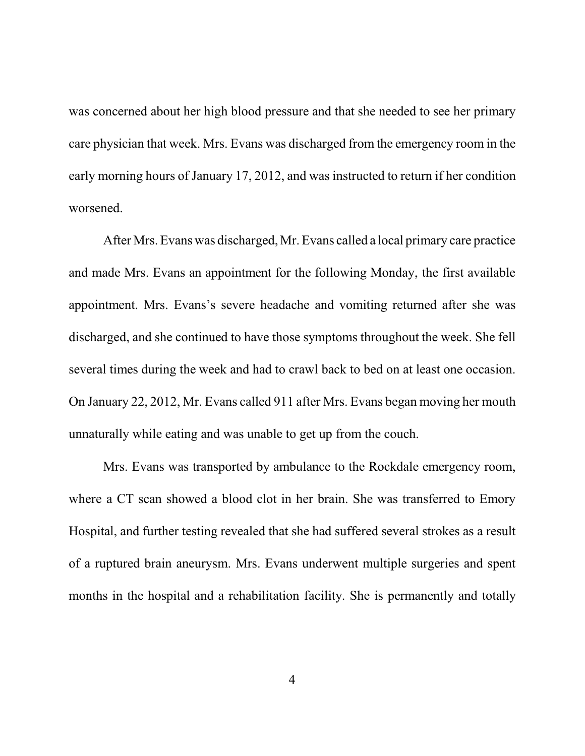was concerned about her high blood pressure and that she needed to see her primary care physician that week. Mrs. Evans was discharged from the emergency room in the early morning hours of January 17, 2012, and was instructed to return if her condition worsened.

After Mrs. Evans was discharged, Mr. Evans called a local primary care practice and made Mrs. Evans an appointment for the following Monday, the first available appointment. Mrs. Evans's severe headache and vomiting returned after she was discharged, and she continued to have those symptoms throughout the week. She fell several times during the week and had to crawl back to bed on at least one occasion. On January 22, 2012, Mr. Evans called 911 after Mrs. Evans began moving her mouth unnaturally while eating and was unable to get up from the couch.

Mrs. Evans was transported by ambulance to the Rockdale emergency room, where a CT scan showed a blood clot in her brain. She was transferred to Emory Hospital, and further testing revealed that she had suffered several strokes as a result of a ruptured brain aneurysm. Mrs. Evans underwent multiple surgeries and spent months in the hospital and a rehabilitation facility. She is permanently and totally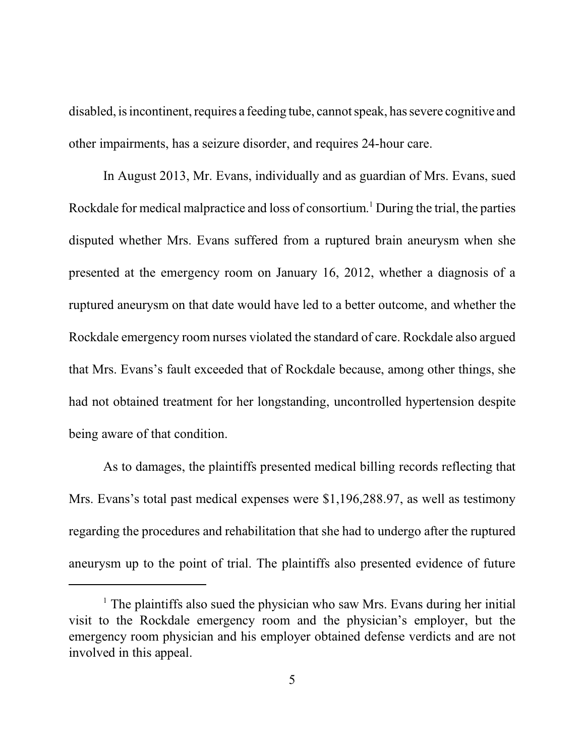disabled, is incontinent, requires a feeding tube, cannot speak, has severe cognitive and other impairments, has a seizure disorder, and requires 24-hour care.

In August 2013, Mr. Evans, individually and as guardian of Mrs. Evans, sued Rockdale for medical malpractice and loss of consortium. <sup>1</sup> During the trial, the parties disputed whether Mrs. Evans suffered from a ruptured brain aneurysm when she presented at the emergency room on January 16, 2012, whether a diagnosis of a ruptured aneurysm on that date would have led to a better outcome, and whether the Rockdale emergency room nurses violated the standard of care. Rockdale also argued that Mrs. Evans's fault exceeded that of Rockdale because, among other things, she had not obtained treatment for her longstanding, uncontrolled hypertension despite being aware of that condition.

As to damages, the plaintiffs presented medical billing records reflecting that Mrs. Evans's total past medical expenses were \$1,196,288.97, as well as testimony regarding the procedures and rehabilitation that she had to undergo after the ruptured aneurysm up to the point of trial. The plaintiffs also presented evidence of future

 $1$ . The plaintiffs also sued the physician who saw Mrs. Evans during her initial visit to the Rockdale emergency room and the physician's employer, but the emergency room physician and his employer obtained defense verdicts and are not involved in this appeal.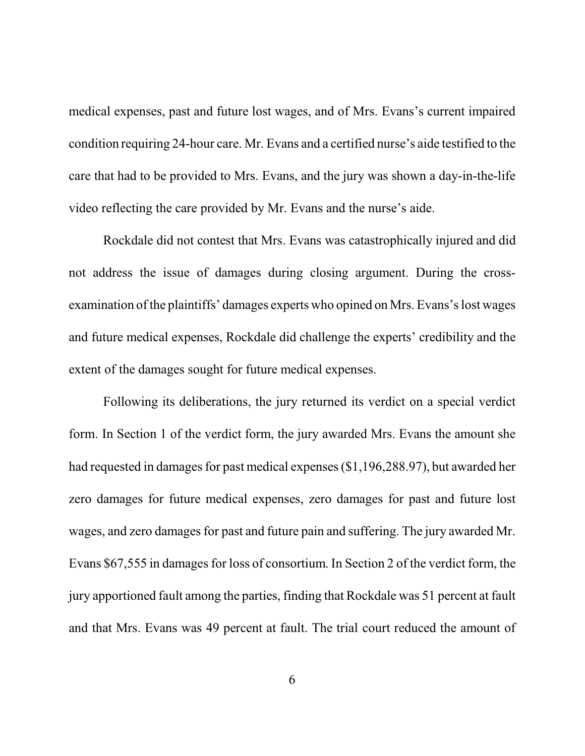medical expenses, past and future lost wages, and of Mrs. Evans's current impaired condition requiring 24-hour care. Mr. Evans and a certified nurse's aide testified to the care that had to be provided to Mrs. Evans, and the jury was shown a day-in-the-life video reflecting the care provided by Mr. Evans and the nurse's aide.

Rockdale did not contest that Mrs. Evans was catastrophically injured and did not address the issue of damages during closing argument. During the crossexamination of the plaintiffs' damages experts who opined on Mrs. Evans's lost wages and future medical expenses, Rockdale did challenge the experts' credibility and the extent of the damages sought for future medical expenses.

Following its deliberations, the jury returned its verdict on a special verdict form. In Section 1 of the verdict form, the jury awarded Mrs. Evans the amount she had requested in damages for past medical expenses (\$1,196,288.97), but awarded her zero damages for future medical expenses, zero damages for past and future lost wages, and zero damages for past and future pain and suffering. The jury awarded Mr. Evans \$67,555 in damages for loss of consortium. In Section 2 of the verdict form, the jury apportioned fault among the parties, finding that Rockdale was 51 percent at fault and that Mrs. Evans was 49 percent at fault. The trial court reduced the amount of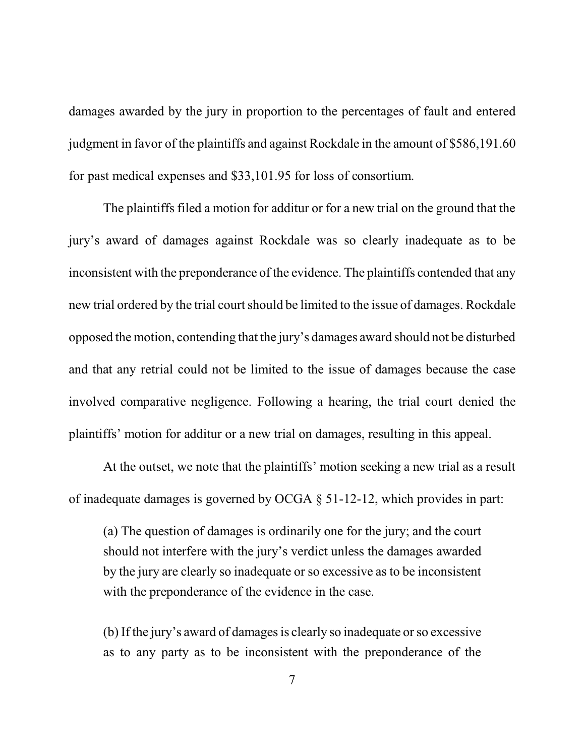damages awarded by the jury in proportion to the percentages of fault and entered judgment in favor of the plaintiffs and against Rockdale in the amount of \$586,191.60 for past medical expenses and \$33,101.95 for loss of consortium.

The plaintiffs filed a motion for additur or for a new trial on the ground that the jury's award of damages against Rockdale was so clearly inadequate as to be inconsistent with the preponderance of the evidence. The plaintiffs contended that any new trial ordered by the trial court should be limited to the issue of damages. Rockdale opposed the motion, contending that the jury's damages award should not be disturbed and that any retrial could not be limited to the issue of damages because the case involved comparative negligence. Following a hearing, the trial court denied the plaintiffs' motion for additur or a new trial on damages, resulting in this appeal.

At the outset, we note that the plaintiffs' motion seeking a new trial as a result of inadequate damages is governed by OCGA § 51-12-12, which provides in part:

(a) The question of damages is ordinarily one for the jury; and the court should not interfere with the jury's verdict unless the damages awarded by the jury are clearly so inadequate or so excessive as to be inconsistent with the preponderance of the evidence in the case.

(b) If the jury's award of damages is clearly so inadequate or so excessive as to any party as to be inconsistent with the preponderance of the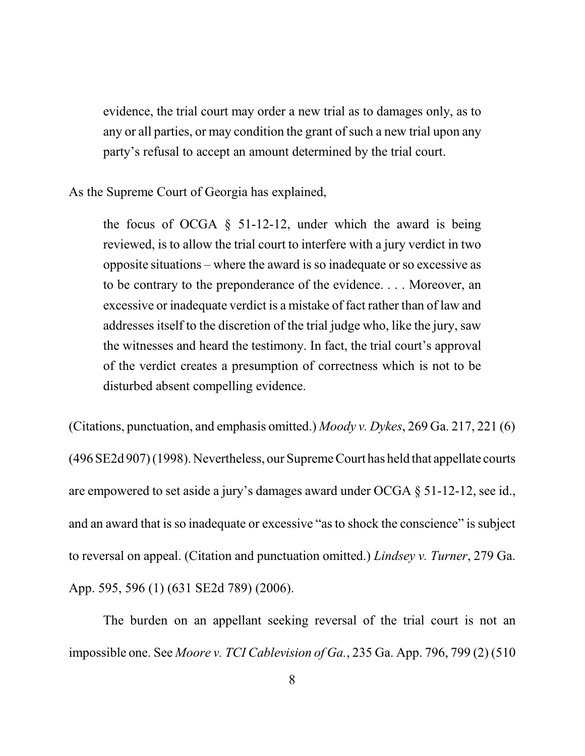evidence, the trial court may order a new trial as to damages only, as to any or all parties, or may condition the grant of such a new trial upon any party's refusal to accept an amount determined by the trial court.

As the Supreme Court of Georgia has explained,

the focus of OCGA  $\S$  51-12-12, under which the award is being reviewed, is to allow the trial court to interfere with a jury verdict in two opposite situations – where the award is so inadequate or so excessive as to be contrary to the preponderance of the evidence. . . . Moreover, an excessive or inadequate verdict is a mistake of fact rather than of law and addresses itself to the discretion of the trial judge who, like the jury, saw the witnesses and heard the testimony. In fact, the trial court's approval of the verdict creates a presumption of correctness which is not to be disturbed absent compelling evidence.

(Citations, punctuation, and emphasis omitted.) *Moody v. Dykes*, 269 Ga. 217, 221 (6) (496 SE2d 907) (1998). Nevertheless, our SupremeCourt has held that appellate courts are empowered to set aside a jury's damages award under OCGA § 51-12-12, see id., and an award that is so inadequate or excessive "asto shock the conscience" is subject to reversal on appeal. (Citation and punctuation omitted.) *Lindsey v. Turner*, 279 Ga. App. 595, 596 (1) (631 SE2d 789) (2006).

The burden on an appellant seeking reversal of the trial court is not an impossible one. See *Moore v. TCI Cablevision of Ga.*, 235 Ga. App. 796, 799 (2) (510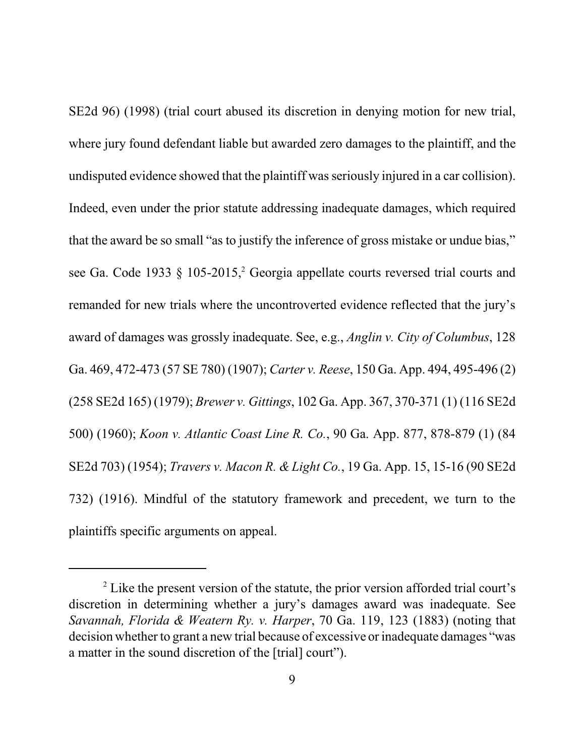SE2d 96) (1998) (trial court abused its discretion in denying motion for new trial, where jury found defendant liable but awarded zero damages to the plaintiff, and the undisputed evidence showed that the plaintiff was seriously injured in a car collision). Indeed, even under the prior statute addressing inadequate damages, which required that the award be so small "as to justify the inference of gross mistake or undue bias," see Ga. Code 1933  $\S$  105-2015,<sup>2</sup> Georgia appellate courts reversed trial courts and remanded for new trials where the uncontroverted evidence reflected that the jury's award of damages was grossly inadequate. See, e.g., *Anglin v. City of Columbus*, 128 Ga. 469, 472-473 (57 SE 780) (1907); *Carter v. Reese*, 150 Ga. App. 494, 495-496 (2) (258 SE2d 165) (1979); *Brewer v. Gittings*, 102 Ga. App. 367, 370-371 (1) (116 SE2d 500) (1960); *Koon v. Atlantic Coast Line R. Co.*, 90 Ga. App. 877, 878-879 (1) (84 SE2d 703) (1954); *Travers v. Macon R. & Light Co.*, 19 Ga. App. 15, 15-16 (90 SE2d 732) (1916). Mindful of the statutory framework and precedent, we turn to the plaintiffs specific arguments on appeal.

<sup>&</sup>lt;sup>2</sup> Like the present version of the statute, the prior version afforded trial court's discretion in determining whether a jury's damages award was inadequate. See *Savannah, Florida & Weatern Ry. v. Harper*, 70 Ga. 119, 123 (1883) (noting that decision whether to grant a new trial because of excessive or inadequate damages "was a matter in the sound discretion of the [trial] court").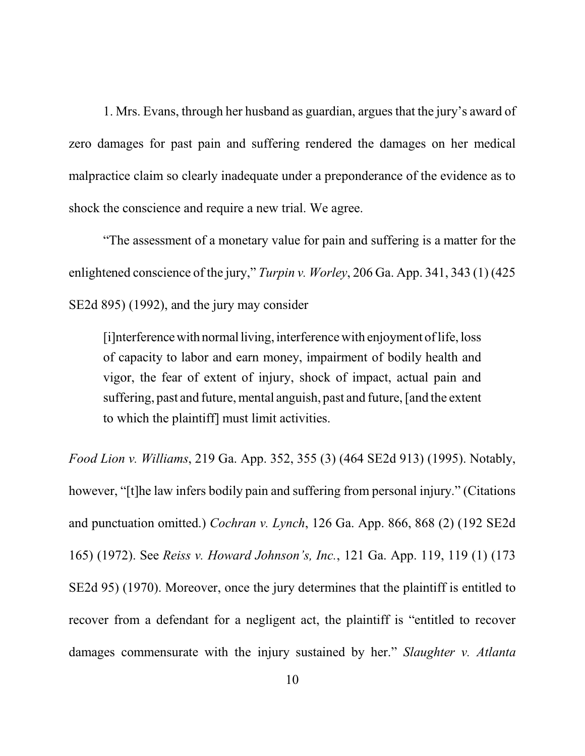1. Mrs. Evans, through her husband as guardian, argues that the jury's award of zero damages for past pain and suffering rendered the damages on her medical malpractice claim so clearly inadequate under a preponderance of the evidence as to shock the conscience and require a new trial. We agree.

"The assessment of a monetary value for pain and suffering is a matter for the enlightened conscience of the jury," *Turpin v. Worley*, 206 Ga. App. 341, 343 (1) (425 SE2d 895) (1992), and the jury may consider

[i]nterferencewith normalliving, interferencewith enjoyment of life, loss of capacity to labor and earn money, impairment of bodily health and vigor, the fear of extent of injury, shock of impact, actual pain and suffering, past and future, mental anguish, past and future, [and the extent to which the plaintiff] must limit activities.

*Food Lion v. Williams*, 219 Ga. App. 352, 355 (3) (464 SE2d 913) (1995). Notably, however, "[t]he law infers bodily pain and suffering from personal injury." (Citations and punctuation omitted.) *Cochran v. Lynch*, 126 Ga. App. 866, 868 (2) (192 SE2d 165) (1972). See *Reiss v. Howard Johnson's, Inc.*, 121 Ga. App. 119, 119 (1) (173 SE2d 95) (1970). Moreover, once the jury determines that the plaintiff is entitled to recover from a defendant for a negligent act, the plaintiff is "entitled to recover damages commensurate with the injury sustained by her." *Slaughter v. Atlanta*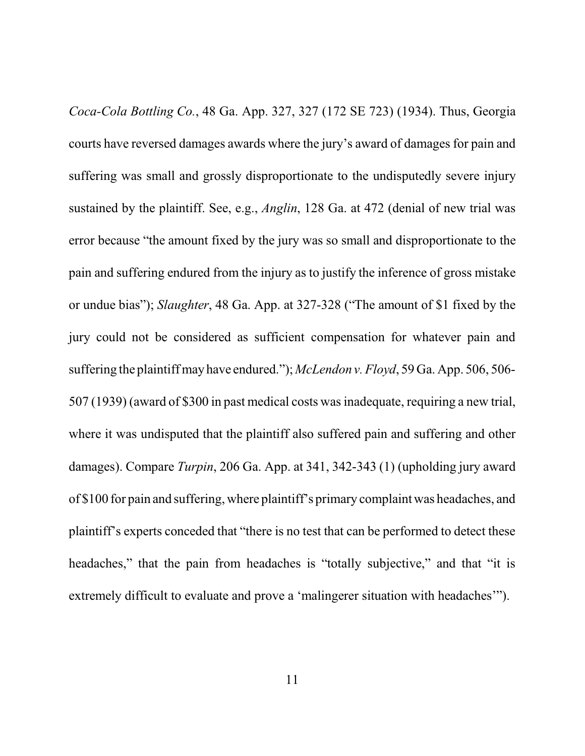*Coca-Cola Bottling Co.*, 48 Ga. App. 327, 327 (172 SE 723) (1934). Thus, Georgia courts have reversed damages awards where the jury's award of damages for pain and suffering was small and grossly disproportionate to the undisputedly severe injury sustained by the plaintiff. See, e.g., *Anglin*, 128 Ga. at 472 (denial of new trial was error because "the amount fixed by the jury was so small and disproportionate to the pain and suffering endured from the injury as to justify the inference of gross mistake or undue bias"); *Slaughter*, 48 Ga. App. at 327-328 ("The amount of \$1 fixed by the jury could not be considered as sufficient compensation for whatever pain and suffering the plaintiff may have endured."); *McLendon v. Floyd*, 59 Ga. App. 506, 506- 507 (1939) (award of \$300 in past medical costs was inadequate, requiring a new trial, where it was undisputed that the plaintiff also suffered pain and suffering and other damages). Compare *Turpin*, 206 Ga. App. at 341, 342-343 (1) (upholding jury award of \$100 for pain and suffering, where plaintiff's primary complaint was headaches, and plaintiff's experts conceded that "there is no test that can be performed to detect these headaches," that the pain from headaches is "totally subjective," and that "it is extremely difficult to evaluate and prove a 'malingerer situation with headaches'").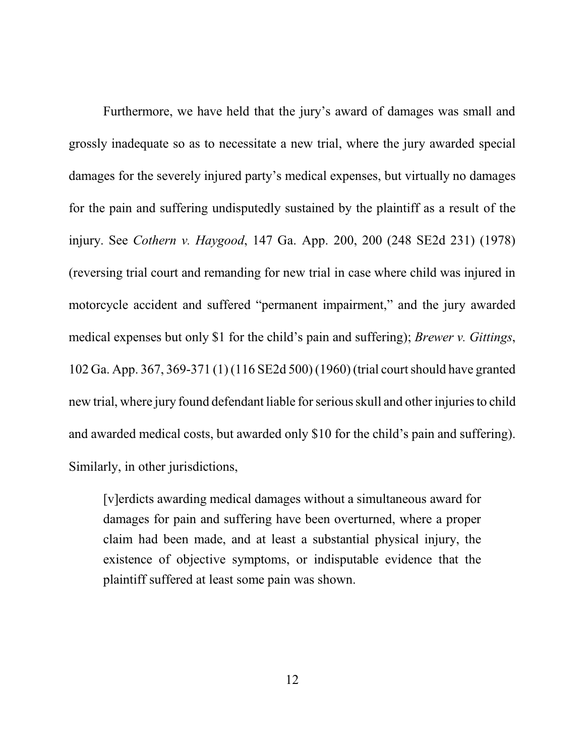Furthermore, we have held that the jury's award of damages was small and grossly inadequate so as to necessitate a new trial, where the jury awarded special damages for the severely injured party's medical expenses, but virtually no damages for the pain and suffering undisputedly sustained by the plaintiff as a result of the injury. See *Cothern v. Haygood*, 147 Ga. App. 200, 200 (248 SE2d 231) (1978) (reversing trial court and remanding for new trial in case where child was injured in motorcycle accident and suffered "permanent impairment," and the jury awarded medical expenses but only \$1 for the child's pain and suffering); *Brewer v. Gittings*, 102 Ga. App. 367, 369-371 (1) (116 SE2d 500) (1960) (trial court should have granted new trial, where jury found defendant liable for serious skull and other injuries to child and awarded medical costs, but awarded only \$10 for the child's pain and suffering). Similarly, in other jurisdictions,

[v]erdicts awarding medical damages without a simultaneous award for damages for pain and suffering have been overturned, where a proper claim had been made, and at least a substantial physical injury, the existence of objective symptoms, or indisputable evidence that the plaintiff suffered at least some pain was shown.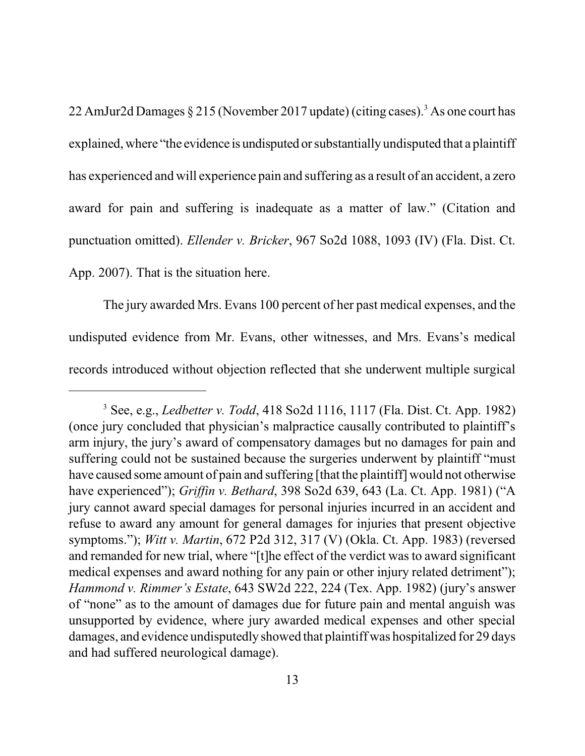22 AmJur2d Damages  $\S 215$  (November 2017 update) (citing cases).<sup>3</sup> As one court has explained, where "the evidence is undisputed or substantially undisputed that a plaintiff has experienced and will experience pain and suffering as a result of an accident, a zero award for pain and suffering is inadequate as a matter of law." (Citation and punctuation omitted). *Ellender v. Bricker*, 967 So2d 1088, 1093 (IV) (Fla. Dist. Ct. App. 2007). That is the situation here.

The jury awarded Mrs. Evans 100 percent of her past medical expenses, and the undisputed evidence from Mr. Evans, other witnesses, and Mrs. Evans's medical records introduced without objection reflected that she underwent multiple surgical

<sup>3</sup> See, e.g., *Ledbetter v. Todd*, 418 So2d 1116, 1117 (Fla. Dist. Ct. App. 1982) (once jury concluded that physician's malpractice causally contributed to plaintiff's arm injury, the jury's award of compensatory damages but no damages for pain and suffering could not be sustained because the surgeries underwent by plaintiff "must have caused some amount of pain and suffering [that the plaintiff] would not otherwise have experienced"); *Griffin v. Bethard*, 398 So2d 639, 643 (La. Ct. App. 1981) ("A jury cannot award special damages for personal injuries incurred in an accident and refuse to award any amount for general damages for injuries that present objective symptoms."); *Witt v. Martin*, 672 P2d 312, 317 (V) (Okla. Ct. App. 1983) (reversed and remanded for new trial, where "[t]he effect of the verdict was to award significant medical expenses and award nothing for any pain or other injury related detriment"); *Hammond v. Rimmer's Estate*, 643 SW2d 222, 224 (Tex. App. 1982) (jury's answer of "none" as to the amount of damages due for future pain and mental anguish was unsupported by evidence, where jury awarded medical expenses and other special damages, and evidence undisputedly showed that plaintiff was hospitalized for 29 days and had suffered neurological damage).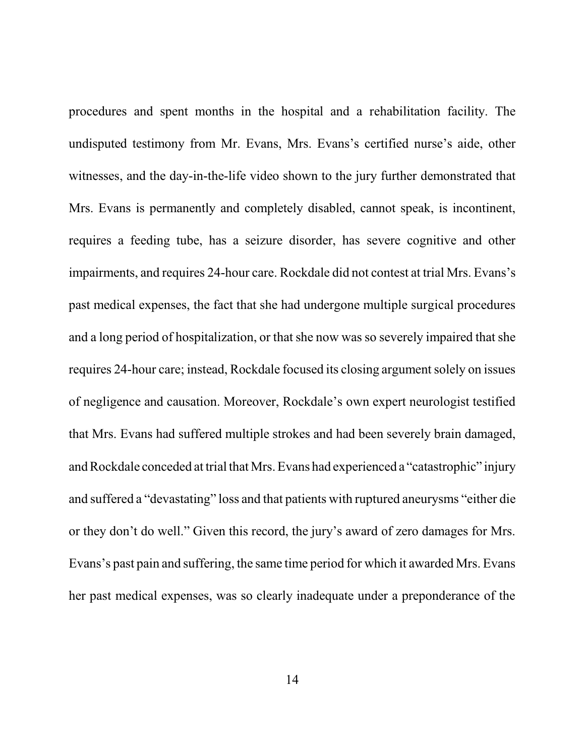procedures and spent months in the hospital and a rehabilitation facility. The undisputed testimony from Mr. Evans, Mrs. Evans's certified nurse's aide, other witnesses, and the day-in-the-life video shown to the jury further demonstrated that Mrs. Evans is permanently and completely disabled, cannot speak, is incontinent, requires a feeding tube, has a seizure disorder, has severe cognitive and other impairments, and requires 24-hour care. Rockdale did not contest at trial Mrs. Evans's past medical expenses, the fact that she had undergone multiple surgical procedures and a long period of hospitalization, or that she now was so severely impaired that she requires 24-hour care; instead, Rockdale focused its closing argument solely on issues of negligence and causation. Moreover, Rockdale's own expert neurologist testified that Mrs. Evans had suffered multiple strokes and had been severely brain damaged, and Rockdale conceded at trial that Mrs. Evans had experienced a "catastrophic" injury and suffered a "devastating" loss and that patients with ruptured aneurysms "either die or they don't do well." Given this record, the jury's award of zero damages for Mrs. Evans's past pain and suffering, the same time period for which it awarded Mrs. Evans her past medical expenses, was so clearly inadequate under a preponderance of the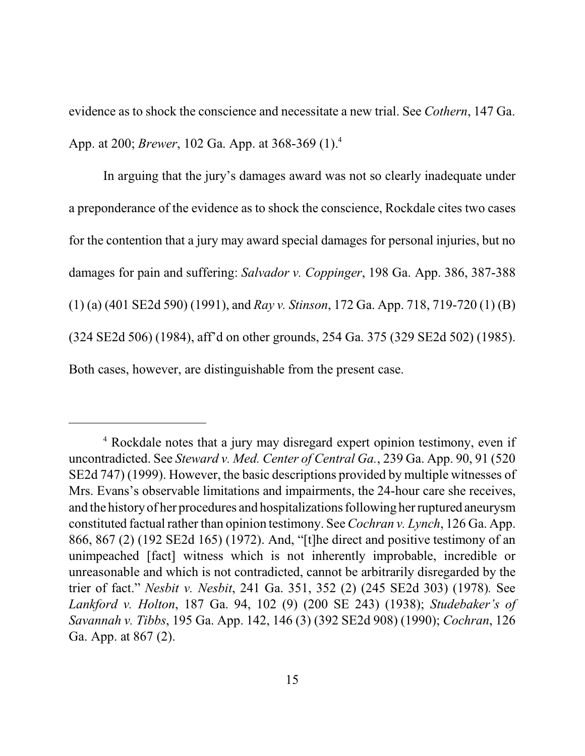evidence as to shock the conscience and necessitate a new trial. See *Cothern*, 147 Ga. App. at 200; *Brewer*, 102 Ga. App. at 368-369 (1).<sup>4</sup>

In arguing that the jury's damages award was not so clearly inadequate under a preponderance of the evidence as to shock the conscience, Rockdale cites two cases for the contention that a jury may award special damages for personal injuries, but no damages for pain and suffering: *Salvador v. Coppinger*, 198 Ga. App. 386, 387-388 (1) (a) (401 SE2d 590) (1991), and *Ray v. Stinson*, 172 Ga. App. 718, 719-720 (1) (B) (324 SE2d 506) (1984), aff'd on other grounds, 254 Ga. 375 (329 SE2d 502) (1985). Both cases, however, are distinguishable from the present case.

<sup>&</sup>lt;sup>4</sup> Rockdale notes that a jury may disregard expert opinion testimony, even if uncontradicted. See *Steward v. Med. Center of Central Ga.*, 239 Ga. App. 90, 91 (520 SE2d 747) (1999). However, the basic descriptions provided by multiple witnesses of Mrs. Evans's observable limitations and impairments, the 24-hour care she receives, and the historyof her procedures and hospitalizations following her ruptured aneurysm constituted factual rather than opinion testimony. See *Cochran v. Lynch*, 126 Ga. App. 866, 867 (2) (192 SE2d 165) (1972). And, "[t]he direct and positive testimony of an unimpeached [fact] witness which is not inherently improbable, incredible or unreasonable and which is not contradicted, cannot be arbitrarily disregarded by the trier of fact." *Nesbit v. Nesbit*, 241 Ga. 351, 352 (2) (245 SE2d 303) (1978)*.* See *Lankford v. Holton*, 187 Ga. 94, 102 (9) (200 SE 243) (1938); *Studebaker's of Savannah v. Tibbs*, 195 Ga. App. 142, 146 (3) (392 SE2d 908) (1990); *Cochran*, 126 Ga. App. at 867 (2).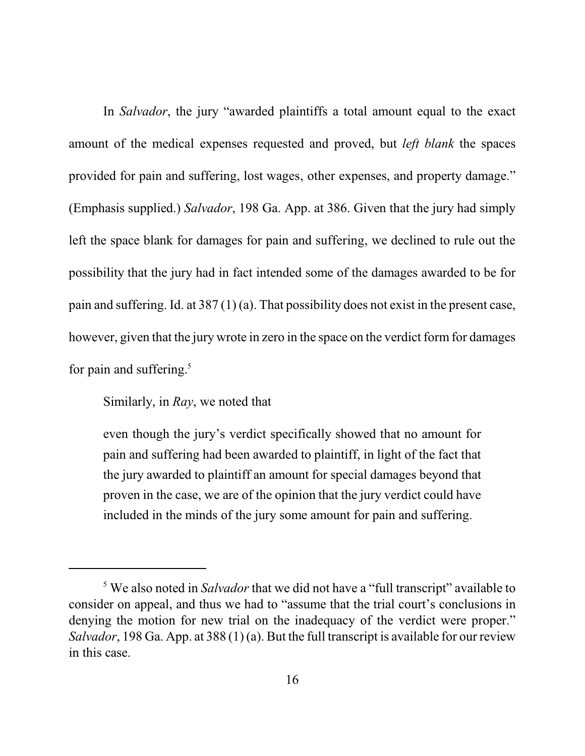In *Salvador*, the jury "awarded plaintiffs a total amount equal to the exact amount of the medical expenses requested and proved, but *left blank* the spaces provided for pain and suffering, lost wages, other expenses, and property damage." (Emphasis supplied.) *Salvador*, 198 Ga. App. at 386. Given that the jury had simply left the space blank for damages for pain and suffering, we declined to rule out the possibility that the jury had in fact intended some of the damages awarded to be for pain and suffering. Id. at 387 (1) (a). That possibility does not exist in the present case, however, given that the jury wrote in zero in the space on the verdict form for damages for pain and suffering.<sup>5</sup>

Similarly, in *Ray*, we noted that

even though the jury's verdict specifically showed that no amount for pain and suffering had been awarded to plaintiff, in light of the fact that the jury awarded to plaintiff an amount for special damages beyond that proven in the case, we are of the opinion that the jury verdict could have included in the minds of the jury some amount for pain and suffering.

<sup>5</sup> We also noted in *Salvador* that we did not have a "full transcript" available to consider on appeal, and thus we had to "assume that the trial court's conclusions in denying the motion for new trial on the inadequacy of the verdict were proper." *Salvador*, 198 Ga. App. at 388 (1) (a). But the full transcript is available for our review in this case.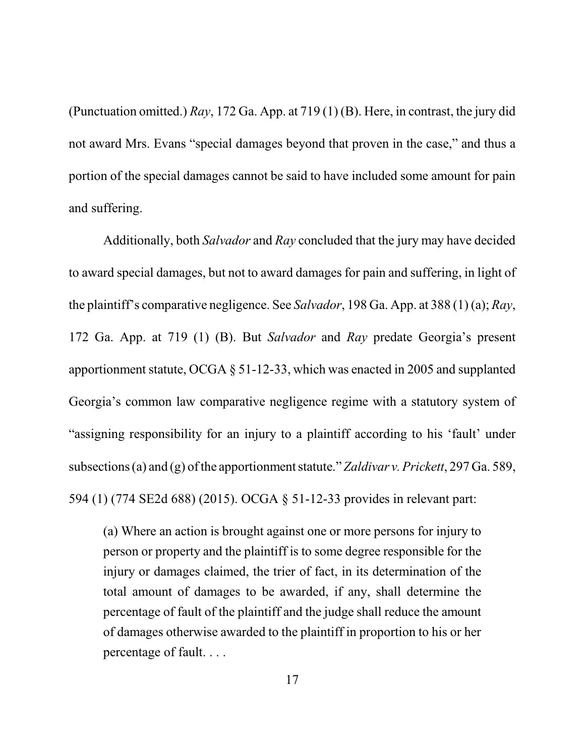(Punctuation omitted.) *Ray*, 172 Ga. App. at 719 (1) (B). Here, in contrast, the jury did not award Mrs. Evans "special damages beyond that proven in the case," and thus a portion of the special damages cannot be said to have included some amount for pain and suffering.

Additionally, both *Salvador* and *Ray* concluded that the jury may have decided to award special damages, but not to award damages for pain and suffering, in light of the plaintiff's comparative negligence. See *Salvador*, 198 Ga. App. at 388 (1) (a); *Ray*, 172 Ga. App. at 719 (1) (B). But *Salvador* and *Ray* predate Georgia's present apportionment statute, OCGA § 51-12-33, which was enacted in 2005 and supplanted Georgia's common law comparative negligence regime with a statutory system of "assigning responsibility for an injury to a plaintiff according to his 'fault' under subsections (a) and (g) of the apportionment statute."*Zaldivar v. Prickett*, 297 Ga. 589, 594 (1) (774 SE2d 688) (2015). OCGA § 51-12-33 provides in relevant part:

(a) Where an action is brought against one or more persons for injury to person or property and the plaintiff is to some degree responsible for the injury or damages claimed, the trier of fact, in its determination of the total amount of damages to be awarded, if any, shall determine the percentage of fault of the plaintiff and the judge shall reduce the amount of damages otherwise awarded to the plaintiff in proportion to his or her percentage of fault. . . .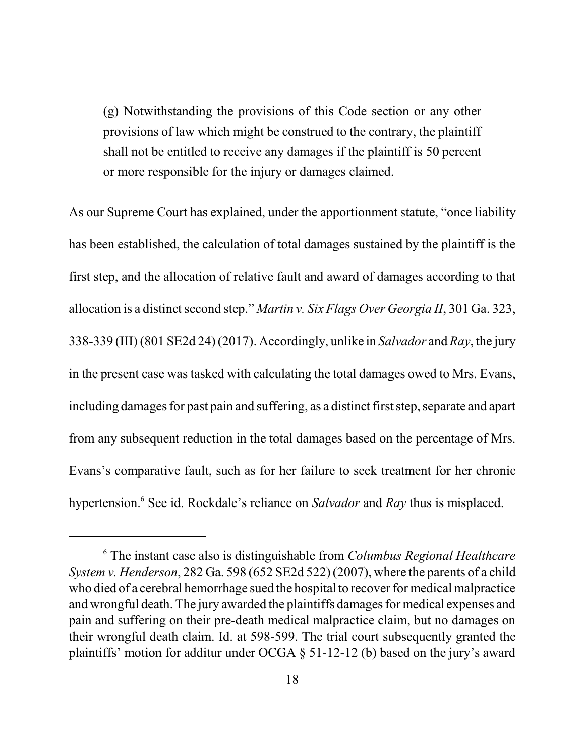(g) Notwithstanding the provisions of this Code section or any other provisions of law which might be construed to the contrary, the plaintiff shall not be entitled to receive any damages if the plaintiff is 50 percent or more responsible for the injury or damages claimed.

As our Supreme Court has explained, under the apportionment statute, "once liability has been established, the calculation of total damages sustained by the plaintiff is the first step, and the allocation of relative fault and award of damages according to that allocation is a distinct second step." *Martin v. Six Flags Over Georgia II*, 301 Ga. 323, 338-339 (III) (801 SE2d 24) (2017). Accordingly, unlike in *Salvador* and *Ray*, the jury in the present case was tasked with calculating the total damages owed to Mrs. Evans, including damages for past pain and suffering, as a distinct first step, separate and apart from any subsequent reduction in the total damages based on the percentage of Mrs. Evans's comparative fault, such as for her failure to seek treatment for her chronic hypertension.<sup>6</sup> See id. Rockdale's reliance on *Salvador* and *Ray* thus is misplaced.

<sup>6</sup> The instant case also is distinguishable from *Columbus Regional Healthcare System v. Henderson*, 282 Ga. 598 (652 SE2d 522) (2007), where the parents of a child who died of a cerebral hemorrhage sued the hospital to recover for medical malpractice and wrongful death. The jury awarded the plaintiffs damages for medical expenses and pain and suffering on their pre-death medical malpractice claim, but no damages on their wrongful death claim. Id. at 598-599. The trial court subsequently granted the plaintiffs' motion for additur under OCGA § 51-12-12 (b) based on the jury's award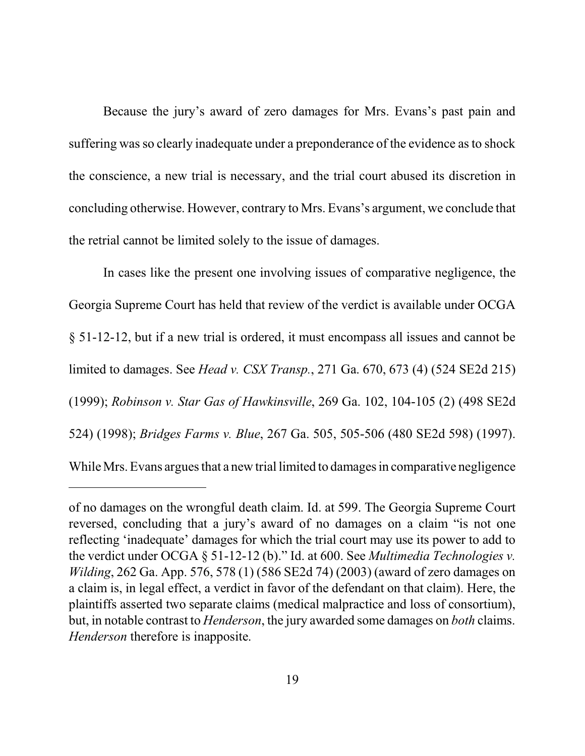Because the jury's award of zero damages for Mrs. Evans's past pain and suffering was so clearly inadequate under a preponderance of the evidence as to shock the conscience, a new trial is necessary, and the trial court abused its discretion in concluding otherwise. However, contrary to Mrs. Evans's argument, we conclude that the retrial cannot be limited solely to the issue of damages.

In cases like the present one involving issues of comparative negligence, the Georgia Supreme Court has held that review of the verdict is available under OCGA § 51-12-12, but if a new trial is ordered, it must encompass all issues and cannot be limited to damages. See *Head v. CSX Transp.*, 271 Ga. 670, 673 (4) (524 SE2d 215) (1999); *Robinson v. Star Gas of Hawkinsville*, 269 Ga. 102, 104-105 (2) (498 SE2d 524) (1998); *Bridges Farms v. Blue*, 267 Ga. 505, 505-506 (480 SE2d 598) (1997). While Mrs. Evans argues that a new trial limited to damages in comparative negligence

of no damages on the wrongful death claim. Id. at 599. The Georgia Supreme Court reversed, concluding that a jury's award of no damages on a claim "is not one reflecting 'inadequate' damages for which the trial court may use its power to add to the verdict under OCGA § 51-12-12 (b)." Id. at 600. See *Multimedia Technologies v. Wilding*, 262 Ga. App. 576, 578 (1) (586 SE2d 74) (2003) (award of zero damages on a claim is, in legal effect, a verdict in favor of the defendant on that claim). Here, the plaintiffs asserted two separate claims (medical malpractice and loss of consortium), but, in notable contrast to *Henderson*, the jury awarded some damages on *both* claims. *Henderson* therefore is inapposite.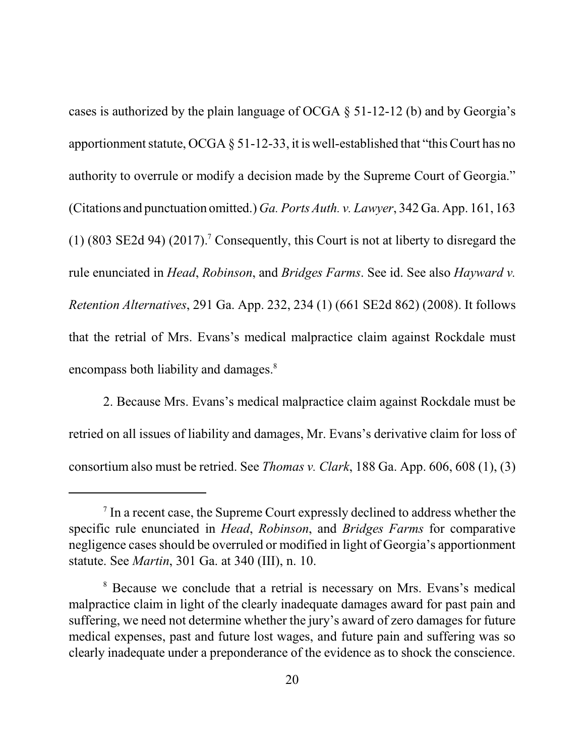cases is authorized by the plain language of OCGA § 51-12-12 (b) and by Georgia's apportionment statute, OCGA § 51-12-33, it is well-established that "this Court has no authority to overrule or modify a decision made by the Supreme Court of Georgia." (Citations and punctuation omitted.) *Ga. Ports Auth. v. Lawyer*, 342 Ga. App. 161, 163  $(1)$  (803 SE2d 94) (2017).<sup>7</sup> Consequently, this Court is not at liberty to disregard the rule enunciated in *Head*, *Robinson*, and *Bridges Farms*. See id. See also *Hayward v. Retention Alternatives*, 291 Ga. App. 232, 234 (1) (661 SE2d 862) (2008). It follows that the retrial of Mrs. Evans's medical malpractice claim against Rockdale must encompass both liability and damages.<sup>8</sup>

2. Because Mrs. Evans's medical malpractice claim against Rockdale must be retried on all issues of liability and damages, Mr. Evans's derivative claim for loss of consortium also must be retried. See *Thomas v. Clark*, 188 Ga. App. 606, 608 (1), (3)

<sup>&</sup>lt;sup>7</sup> In a recent case, the Supreme Court expressly declined to address whether the specific rule enunciated in *Head*, *Robinson*, and *Bridges Farms* for comparative negligence cases should be overruled or modified in light of Georgia's apportionment statute. See *Martin*, 301 Ga. at 340 (III), n. 10.

<sup>&</sup>lt;sup>8</sup> Because we conclude that a retrial is necessary on Mrs. Evans's medical malpractice claim in light of the clearly inadequate damages award for past pain and suffering, we need not determine whether the jury's award of zero damages for future medical expenses, past and future lost wages, and future pain and suffering was so clearly inadequate under a preponderance of the evidence as to shock the conscience.